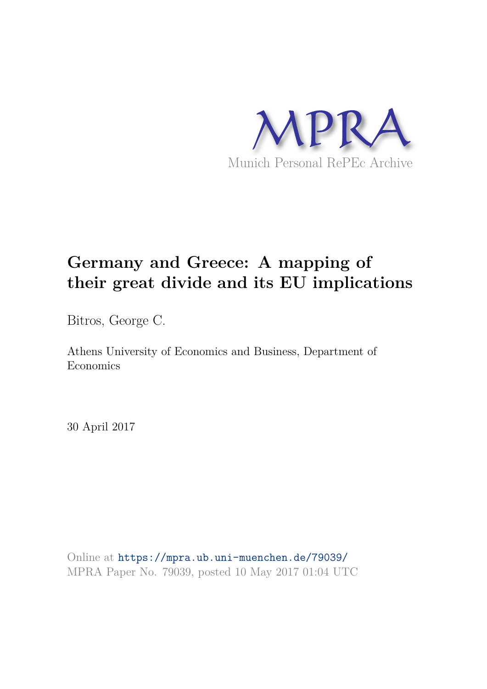

# **Germany and Greece: A mapping of their great divide and its EU implications**

Bitros, George C.

Athens University of Economics and Business, Department of Economics

30 April 2017

Online at https://mpra.ub.uni-muenchen.de/79039/ MPRA Paper No. 79039, posted 10 May 2017 01:04 UTC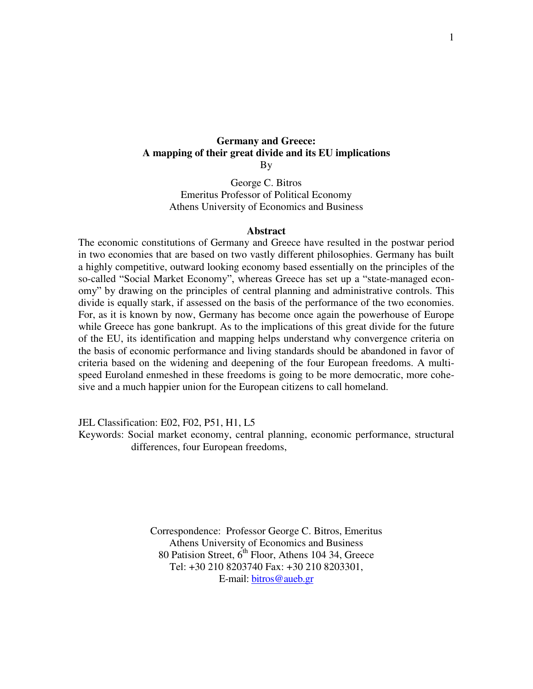# **Germany and Greece: A mapping of their great divide and its EU implications**  By

George C. Bitros Emeritus Professor of Political Economy Athens University of Economics and Business

#### **Abstract**

The economic constitutions of Germany and Greece have resulted in the postwar period in two economies that are based on two vastly different philosophies. Germany has built a highly competitive, outward looking economy based essentially on the principles of the so-called "Social Market Economy", whereas Greece has set up a "state-managed economy" by drawing on the principles of central planning and administrative controls. This divide is equally stark, if assessed on the basis of the performance of the two economies. For, as it is known by now, Germany has become once again the powerhouse of Europe while Greece has gone bankrupt. As to the implications of this great divide for the future of the EU, its identification and mapping helps understand why convergence criteria on the basis of economic performance and living standards should be abandoned in favor of criteria based on the widening and deepening of the four European freedoms. A multispeed Euroland enmeshed in these freedoms is going to be more democratic, more cohesive and a much happier union for the European citizens to call homeland.

JEL Classification: E02, F02, P51, H1, L5

Keywords: Social market economy, central planning, economic performance, structural differences, four European freedoms,

> Correspondence: Professor George C. Bitros, Emeritus Athens University of Economics and Business 80 Patision Street,  $6<sup>th</sup>$  Floor, Athens 104 34, Greece Tel: +30 210 8203740 Fax: +30 210 8203301, E-mail: [bitros@aueb.gr](mailto:bitros@aueb.gr)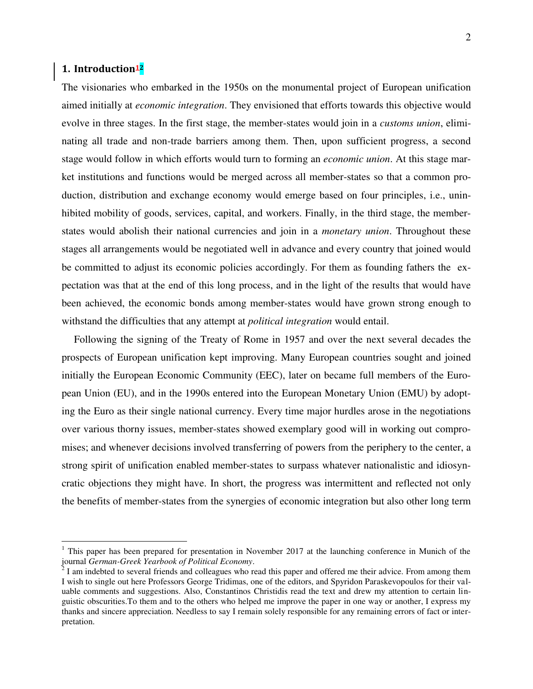# **1. Introduction<sup>12</sup>**

 $\overline{a}$ 

The visionaries who embarked in the 1950s on the monumental project of European unification aimed initially at *economic integration*. They envisioned that efforts towards this objective would evolve in three stages. In the first stage, the member-states would join in a *customs union*, eliminating all trade and non-trade barriers among them. Then, upon sufficient progress, a second stage would follow in which efforts would turn to forming an *economic union*. At this stage market institutions and functions would be merged across all member-states so that a common production, distribution and exchange economy would emerge based on four principles, i.e., uninhibited mobility of goods, services, capital, and workers. Finally, in the third stage, the memberstates would abolish their national currencies and join in a *monetary union*. Throughout these stages all arrangements would be negotiated well in advance and every country that joined would be committed to adjust its economic policies accordingly. For them as founding fathers the expectation was that at the end of this long process, and in the light of the results that would have been achieved, the economic bonds among member-states would have grown strong enough to withstand the difficulties that any attempt at *political integration* would entail.

Following the signing of the Treaty of Rome in 1957 and over the next several decades the prospects of European unification kept improving. Many European countries sought and joined initially the European Economic Community (EEC), later on became full members of the European Union (EU), and in the 1990s entered into the European Monetary Union (EMU) by adopting the Euro as their single national currency. Every time major hurdles arose in the negotiations over various thorny issues, member-states showed exemplary good will in working out compromises; and whenever decisions involved transferring of powers from the periphery to the center, a strong spirit of unification enabled member-states to surpass whatever nationalistic and idiosyncratic objections they might have. In short, the progress was intermittent and reflected not only the benefits of member-states from the synergies of economic integration but also other long term

<sup>1</sup> This paper has been prepared for presentation in November 2017 at the launching conference in Munich of the journal *German-Greek Yearbook of Political Economy*.

 $2^{2}$  I am indebted to several friends and colleagues who read this paper and offered me their advice. From among them I wish to single out here Professors George Tridimas, one of the editors, and Spyridon Paraskevopoulos for their valuable comments and suggestions. Also, Constantinos Christidis read the text and drew my attention to certain linguistic obscurities.To them and to the others who helped me improve the paper in one way or another, I express my thanks and sincere appreciation. Needless to say I remain solely responsible for any remaining errors of fact or interpretation.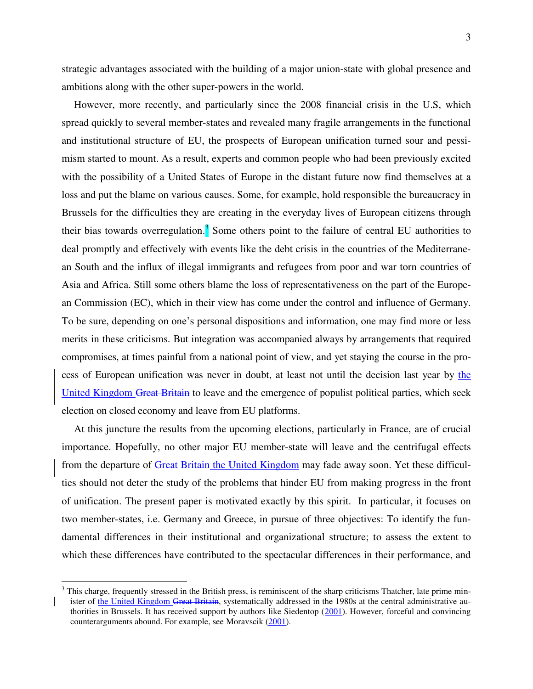3

strategic advantages associated with the building of a major union-state with global presence and ambitions along with the other super-powers in the world.

However, more recently, and particularly since the 2008 financial crisis in the U.S, which spread quickly to several member-states and revealed many fragile arrangements in the functional and institutional structure of EU, the prospects of European unification turned sour and pessimism started to mount. As a result, experts and common people who had been previously excited with the possibility of a United States of Europe in the distant future now find themselves at a loss and put the blame on various causes. Some, for example, hold responsible the bureaucracy in Brussels for the difficulties they are creating in the everyday lives of European citizens through their bias towards overregulation. $3$  Some others point to the failure of central EU authorities to deal promptly and effectively with events like the debt crisis in the countries of the Mediterranean South and the influx of illegal immigrants and refugees from poor and war torn countries of Asia and Africa. Still some others blame the loss of representativeness on the part of the European Commission (EC), which in their view has come under the control and influence of Germany. To be sure, depending on one's personal dispositions and information, one may find more or less merits in these criticisms. But integration was accompanied always by arrangements that required compromises, at times painful from a national point of view, and yet staying the course in the process of European unification was never in doubt, at least not until the decision last year by the United Kingdom Great Britain to leave and the emergence of populist political parties, which seek election on closed economy and leave from EU platforms.

At this juncture the results from the upcoming elections, particularly in France, are of crucial importance. Hopefully, no other major EU member-state will leave and the centrifugal effects from the departure of Great Britain the United Kingdom may fade away soon. Yet these difficulties should not deter the study of the problems that hinder EU from making progress in the front of unification. The present paper is motivated exactly by this spirit. In particular, it focuses on two member-states, i.e. Germany and Greece, in pursue of three objectives: To identify the fundamental differences in their institutional and organizational structure; to assess the extent to which these differences have contributed to the spectacular differences in their performance, and

<sup>3</sup> This charge, frequently stressed in the British press, is reminiscent of the sharp criticisms Thatcher, late prime minister of the United Kingdom Great Britain, systematically addressed in the 1980s at the central administrative authorities in Brussels. It has received support by authors like Siedentop [\(2001\)](#page-29-0). However, forceful and convincing counterarguments abound. For example, see Moravscik [\(2001\)](#page-29-1).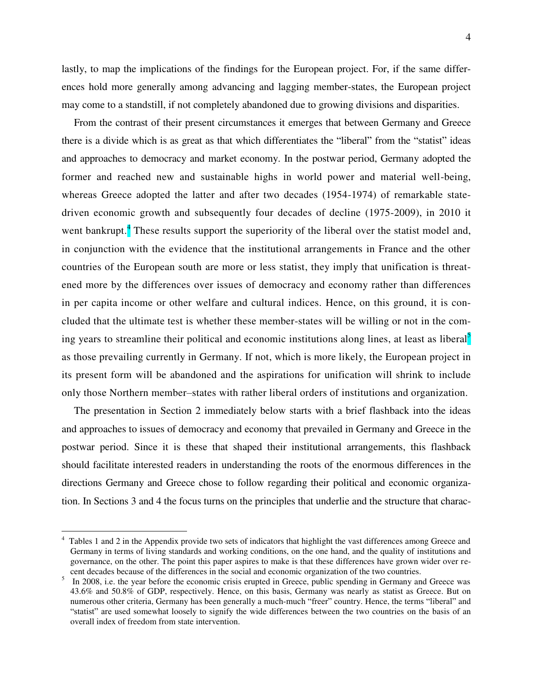lastly, to map the implications of the findings for the European project. For, if the same differences hold more generally among advancing and lagging member-states, the European project may come to a standstill, if not completely abandoned due to growing divisions and disparities.

From the contrast of their present circumstances it emerges that between Germany and Greece there is a divide which is as great as that which differentiates the "liberal" from the "statist" ideas and approaches to democracy and market economy. In the postwar period, Germany adopted the former and reached new and sustainable highs in world power and material well-being, whereas Greece adopted the latter and after two decades (1954-1974) of remarkable statedriven economic growth and subsequently four decades of decline (1975-2009), in 2010 it went bankrupt.<sup>4</sup> These results support the superiority of the liberal over the statist model and, in conjunction with the evidence that the institutional arrangements in France and the other countries of the European south are more or less statist, they imply that unification is threatened more by the differences over issues of democracy and economy rather than differences in per capita income or other welfare and cultural indices. Hence, on this ground, it is concluded that the ultimate test is whether these member-states will be willing or not in the coming years to streamline their political and economic institutions along lines, at least as liberal<sup>5</sup> as those prevailing currently in Germany. If not, which is more likely, the European project in its present form will be abandoned and the aspirations for unification will shrink to include only those Northern member–states with rather liberal orders of institutions and organization.

The presentation in Section 2 immediately below starts with a brief flashback into the ideas and approaches to issues of democracy and economy that prevailed in Germany and Greece in the postwar period. Since it is these that shaped their institutional arrangements, this flashback should facilitate interested readers in understanding the roots of the enormous differences in the directions Germany and Greece chose to follow regarding their political and economic organization. In Sections 3 and 4 the focus turns on the principles that underlie and the structure that charac-

<sup>4</sup> Tables 1 and 2 in the Appendix provide two sets of indicators that highlight the vast differences among Greece and Germany in terms of living standards and working conditions, on the one hand, and the quality of institutions and governance, on the other. The point this paper aspires to make is that these differences have grown wider over recent decades because of the differences in the social and economic organization of the two countries.

<sup>5</sup> In 2008, i.e. the year before the economic crisis erupted in Greece, public spending in Germany and Greece was 43.6% and 50.8% of GDP, respectively. Hence, on this basis, Germany was nearly as statist as Greece. But on numerous other criteria, Germany has been generally a much-much "freer" country. Hence, the terms "liberal" and "statist" are used somewhat loosely to signify the wide differences between the two countries on the basis of an overall index of freedom from state intervention.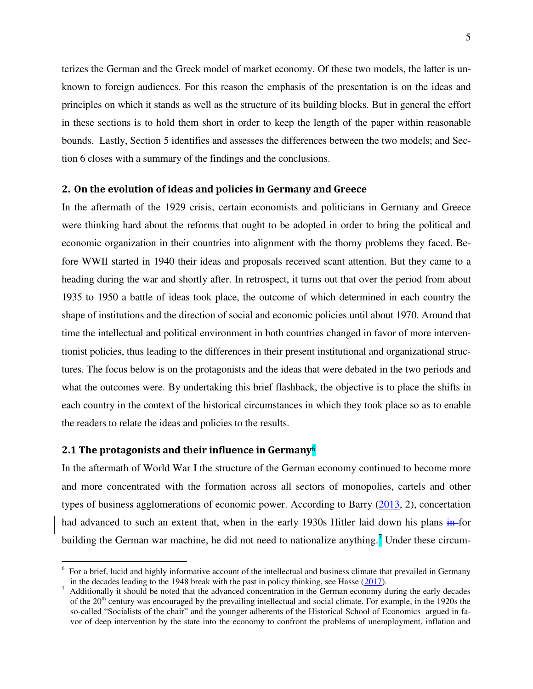terizes the German and the Greek model of market economy. Of these two models, the latter is unknown to foreign audiences. For this reason the emphasis of the presentation is on the ideas and principles on which it stands as well as the structure of its building blocks. But in general the effort in these sections is to hold them short in order to keep the length of the paper within reasonable bounds. Lastly, Section 5 identifies and assesses the differences between the two models; and Section 6 closes with a summary of the findings and the conclusions.

# **2. On the evolution of ideas and policies in Germany and Greece**

In the aftermath of the 1929 crisis, certain economists and politicians in Germany and Greece were thinking hard about the reforms that ought to be adopted in order to bring the political and economic organization in their countries into alignment with the thorny problems they faced. Before WWII started in 1940 their ideas and proposals received scant attention. But they came to a heading during the war and shortly after. In retrospect, it turns out that over the period from about 1935 to 1950 a battle of ideas took place, the outcome of which determined in each country the shape of institutions and the direction of social and economic policies until about 1970. Around that time the intellectual and political environment in both countries changed in favor of more interventionist policies, thus leading to the differences in their present institutional and organizational structures. The focus below is on the protagonists and the ideas that were debated in the two periods and what the outcomes were. By undertaking this brief flashback, the objective is to place the shifts in each country in the context of the historical circumstances in which they took place so as to enable the readers to relate the ideas and policies to the results.

# **2.1 The protagonists and their influence in Germany**<sup>6</sup>

 $\overline{a}$ 

In the aftermath of World War I the structure of the German economy continued to become more and more concentrated with the formation across all sectors of monopolies, cartels and other types of business agglomerations of economic power. According to Barry [\(2013,](#page-28-0) 2), concertation had advanced to such an extent that, when in the early 1930s Hitler laid down his plans  $\frac{1}{2}$  for building the German war machine, he did not need to nationalize anything.<sup>7</sup> Under these circum-

<sup>&</sup>lt;sup>6</sup> For a brief, lucid and highly informative account of the intellectual and business climate that prevailed in Germany in the decades leading to the 1948 break with the past in policy thinking, see Hasse [\(2017\)](#page-28-1).

<sup>7</sup> Additionally it should be noted that the advanced concentration in the German economy during the early decades of the  $20<sup>th</sup>$  century was encouraged by the prevailing intellectual and social climate. For example, in the 1920s the so-called "Socialists of the chair" and the younger adherents of the Historical School of Economics argued in favor of deep intervention by the state into the economy to confront the problems of unemployment, inflation and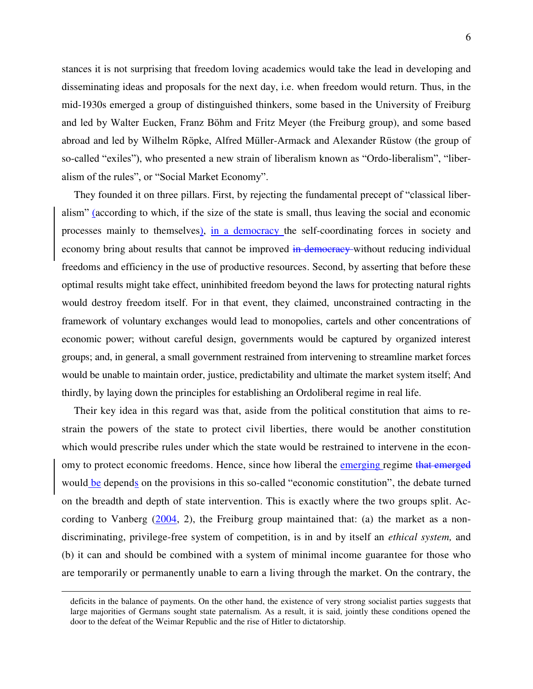stances it is not surprising that freedom loving academics would take the lead in developing and disseminating ideas and proposals for the next day, i.e. when freedom would return. Thus, in the mid-1930s emerged a group of distinguished thinkers, some based in the University of Freiburg and led by Walter Eucken, Franz Böhm and Fritz Meyer (the Freiburg group), and some based abroad and led by Wilhelm Röpke, Alfred Müller-Armack and Alexander Rüstow (the group of so-called "exiles"), who presented a new strain of liberalism known as "Ordo-liberalism", "liberalism of the rules", or "Social Market Economy".

They founded it on three pillars. First, by rejecting the fundamental precept of "classical liberalism" (according to which, if the size of the state is small, thus leaving the social and economic processes mainly to themselves), in a democracy the self-coordinating forces in society and economy bring about results that cannot be improved in democracy without reducing individual freedoms and efficiency in the use of productive resources. Second, by asserting that before these optimal results might take effect, uninhibited freedom beyond the laws for protecting natural rights would destroy freedom itself. For in that event, they claimed, unconstrained contracting in the framework of voluntary exchanges would lead to monopolies, cartels and other concentrations of economic power; without careful design, governments would be captured by organized interest groups; and, in general, a small government restrained from intervening to streamline market forces would be unable to maintain order, justice, predictability and ultimate the market system itself; And thirdly, by laying down the principles for establishing an Ordoliberal regime in real life.

 Their key idea in this regard was that, aside from the political constitution that aims to restrain the powers of the state to protect civil liberties, there would be another constitution which would prescribe rules under which the state would be restrained to intervene in the economy to protect economic freedoms. Hence, since how liberal the emerging regime that emerged would be depends on the provisions in this so-called "economic constitution", the debate turned on the breadth and depth of state intervention. This is exactly where the two groups split. According to Vanberg  $(2004, 2)$  $(2004, 2)$ , the Freiburg group maintained that: (a) the market as a nondiscriminating, privilege-free system of competition, is in and by itself an *ethical system,* and (b) it can and should be combined with a system of minimal income guarantee for those who are temporarily or permanently unable to earn a living through the market. On the contrary, the

deficits in the balance of payments. On the other hand, the existence of very strong socialist parties suggests that large majorities of Germans sought state paternalism. As a result, it is said, jointly these conditions opened the door to the defeat of the Weimar Republic and the rise of Hitler to dictatorship.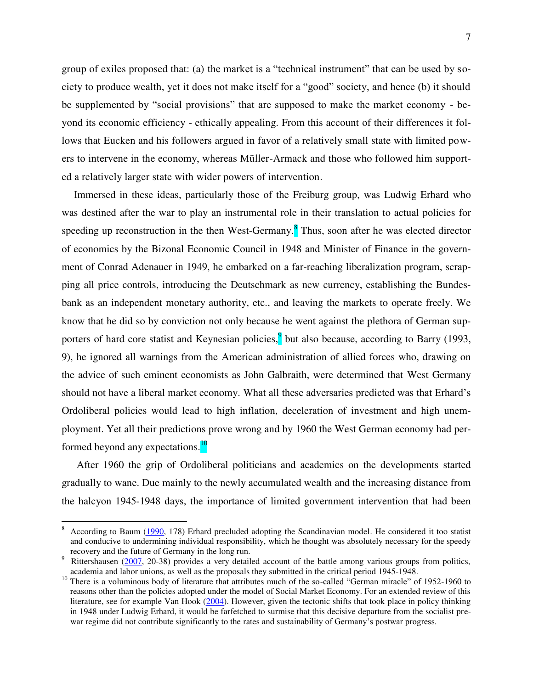group of exiles proposed that: (a) the market is a "technical instrument" that can be used by society to produce wealth, yet it does not make itself for a "good" society, and hence (b) it should be supplemented by "social provisions" that are supposed to make the market economy - beyond its economic efficiency - ethically appealing. From this account of their differences it follows that Eucken and his followers argued in favor of a relatively small state with limited powers to intervene in the economy, whereas Müller-Armack and those who followed him supported a relatively larger state with wider powers of intervention.

 Immersed in these ideas, particularly those of the Freiburg group, was Ludwig Erhard who was destined after the war to play an instrumental role in their translation to actual policies for speeding up reconstruction in the then West-Germany.<sup>8</sup> Thus, soon after he was elected director of economics by the Bizonal Economic Council in 1948 and Minister of Finance in the government of Conrad Adenauer in 1949, he embarked on a far-reaching liberalization program, scrapping all price controls, introducing the Deutschmark as new currency, establishing the Bundesbank as an independent monetary authority, etc., and leaving the markets to operate freely. We know that he did so by conviction not only because he went against the plethora of German supporters of hard core statist and Keynesian policies,<sup>9</sup> but also because, according to Barry (1993, 9), he ignored all warnings from the American administration of allied forces who, drawing on the advice of such eminent economists as John Galbraith, were determined that West Germany should not have a liberal market economy. What all these adversaries predicted was that Erhard's Ordoliberal policies would lead to high inflation, deceleration of investment and high unemployment. Yet all their predictions prove wrong and by 1960 the West German economy had performed beyond any expectations.<sup>10</sup>

 After 1960 the grip of Ordoliberal politicians and academics on the developments started gradually to wane. Due mainly to the newly accumulated wealth and the increasing distance from the halcyon 1945-1948 days, the importance of limited government intervention that had been

<sup>8</sup> According to Baum [\(1990,](#page-28-2) 178) Erhard precluded adopting the Scandinavian model. He considered it too statist and conducive to undermining individual responsibility, which he thought was absolutely necessary for the speedy recovery and the future of Germany in the long run.

<sup>9</sup> Rittershausen [\(2007,](#page-29-3) 20-38) provides a very detailed account of the battle among various groups from politics, academia and labor unions, as well as the proposals they submitted in the critical period 1945-1948.

<sup>&</sup>lt;sup>10</sup> There is a voluminous body of literature that attributes much of the so-called "German miracle" of 1952-1960 to reasons other than the policies adopted under the model of Social Market Economy. For an extended review of this literature, see for example Van Hook [\(2004\)](#page-29-4). However, given the tectonic shifts that took place in policy thinking in 1948 under Ludwig Erhard, it would be farfetched to surmise that this decisive departure from the socialist prewar regime did not contribute significantly to the rates and sustainability of Germany's postwar progress.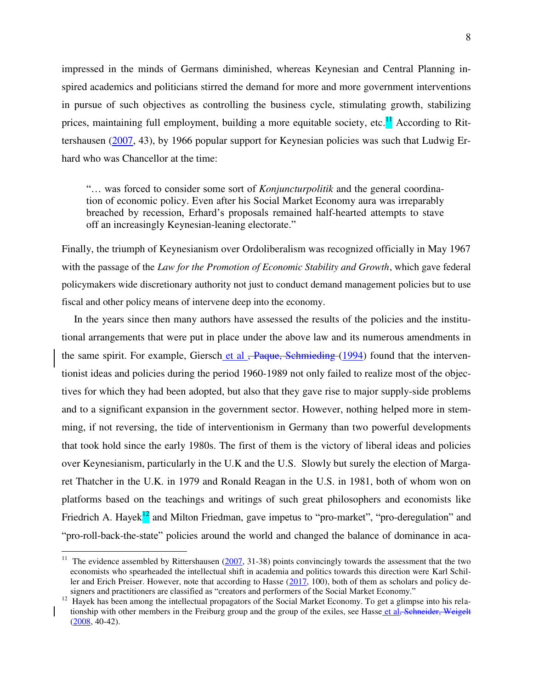impressed in the minds of Germans diminished, whereas Keynesian and Central Planning inspired academics and politicians stirred the demand for more and more government interventions in pursue of such objectives as controlling the business cycle, stimulating growth, stabilizing prices, maintaining full employment, building a more equitable society, etc. $\frac{11}{11}$  According to Rittershausen [\(2007,](#page-29-3) 43), by 1966 popular support for Keynesian policies was such that Ludwig Erhard who was Chancellor at the time:

"… was forced to consider some sort of *Konjuncturpolitik* and the general coordination of economic policy. Even after his Social Market Economy aura was irreparably breached by recession, Erhard's proposals remained half-hearted attempts to stave off an increasingly Keynesian-leaning electorate."

Finally, the triumph of Keynesianism over Ordoliberalism was recognized officially in May 1967 with the passage of the *Law for the Promotion of Economic Stability and Growth*, which gave federal policymakers wide discretionary authority not just to conduct demand management policies but to use fiscal and other policy means of intervene deep into the economy.

In the years since then many authors have assessed the results of the policies and the institutional arrangements that were put in place under the above law and its numerous amendments in the same spirit. For example, Giersch et al , Paque, Schmieding  $(1994)$  found that the interventionist ideas and policies during the period 1960-1989 not only failed to realize most of the objectives for which they had been adopted, but also that they gave rise to major supply-side problems and to a significant expansion in the government sector. However, nothing helped more in stemming, if not reversing, the tide of interventionism in Germany than two powerful developments that took hold since the early 1980s. The first of them is the victory of liberal ideas and policies over Keynesianism, particularly in the U.K and the U.S. Slowly but surely the election of Margaret Thatcher in the U.K. in 1979 and Ronald Reagan in the U.S. in 1981, both of whom won on platforms based on the teachings and writings of such great philosophers and economists like Friedrich A. Hayek<sup>12</sup> and Milton Friedman, gave impetus to "pro-market", "pro-deregulation" and "pro-roll-back-the-state" policies around the world and changed the balance of dominance in aca-

 $\frac{1}{11}$  The evidence assembled by Rittershausen [\(2007,](#page-29-3) 31-38) points convincingly towards the assessment that the two economists who spearheaded the intellectual shift in academia and politics towards this direction were Karl Schiller and Erich Preiser. However, note that according to Hasse [\(2017,](#page-28-1) 100), both of them as scholars and policy designers and practitioners are classified as "creators and performers of the Social Market Economy."

<sup>&</sup>lt;sup>12</sup> Hayek has been among the intellectual propagators of the Social Market Economy. To get a glimpse into his relationship with other members in the Freiburg group and the group of the exiles, see Hasse et al, Schneider, Weigelt [\(2008,](#page-29-6) 40-42).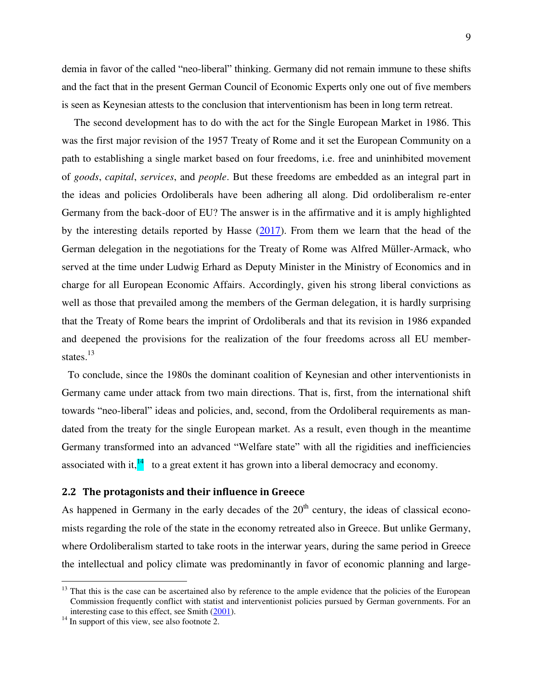demia in favor of the called "neo-liberal" thinking. Germany did not remain immune to these shifts and the fact that in the present German Council of Economic Experts only one out of five members is seen as Keynesian attests to the conclusion that interventionism has been in long term retreat.

The second development has to do with the act for the Single European Market in 1986. This was the first major revision of the 1957 Treaty of Rome and it set the European Community on a path to establishing a single market based on four freedoms, i.e. free and uninhibited movement of *goods*, *capital*, *services*, and *people*. But these freedoms are embedded as an integral part in the ideas and policies Ordoliberals have been adhering all along. Did ordoliberalism re-enter Germany from the back-door of EU? The answer is in the affirmative and it is amply highlighted by the interesting details reported by Hasse  $(2017)$ . From them we learn that the head of the German delegation in the negotiations for the Treaty of Rome was Alfred Müller-Armack, who served at the time under Ludwig Erhard as Deputy Minister in the Ministry of Economics and in charge for all European Economic Affairs. Accordingly, given his strong liberal convictions as well as those that prevailed among the members of the German delegation, it is hardly surprising that the Treaty of Rome bears the imprint of Ordoliberals and that its revision in 1986 expanded and deepened the provisions for the realization of the four freedoms across all EU memberstates. $^{13}$ 

To conclude, since the 1980s the dominant coalition of Keynesian and other interventionists in Germany came under attack from two main directions. That is, first, from the international shift towards "neo-liberal" ideas and policies, and, second, from the Ordoliberal requirements as mandated from the treaty for the single European market. As a result, even though in the meantime Germany transformed into an advanced "Welfare state" with all the rigidities and inefficiencies associated with it, $14 \times 10$  a great extent it has grown into a liberal democracy and economy.

#### **2.2 The protagonists and their influence in Greece**

As happened in Germany in the early decades of the  $20<sup>th</sup>$  century, the ideas of classical economists regarding the role of the state in the economy retreated also in Greece. But unlike Germany, where Ordoliberalism started to take roots in the interwar years, during the same period in Greece the intellectual and policy climate was predominantly in favor of economic planning and large-

<sup>&</sup>lt;sup>13</sup> That this is the case can be ascertained also by reference to the ample evidence that the policies of the European Commission frequently conflict with statist and interventionist policies pursued by German governments. For an interesting case to this effect, see Smith [\(2001\)](#page-29-7).

 $14$  In support of this view, see also footnote 2.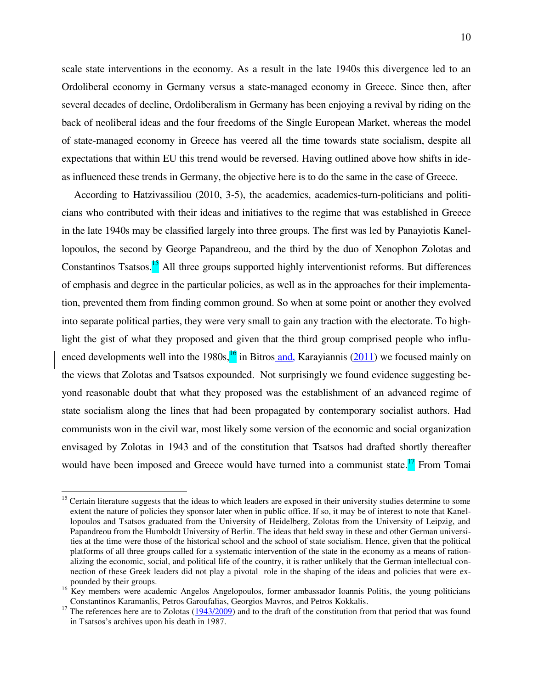scale state interventions in the economy. As a result in the late 1940s this divergence led to an Ordoliberal economy in Germany versus a state-managed economy in Greece. Since then, after several decades of decline, Ordoliberalism in Germany has been enjoying a revival by riding on the back of neoliberal ideas and the four freedoms of the Single European Market, whereas the model of state-managed economy in Greece has veered all the time towards state socialism, despite all expectations that within EU this trend would be reversed. Having outlined above how shifts in ideas influenced these trends in Germany, the objective here is to do the same in the case of Greece.

 According to Hatzivassiliou (2010, 3-5), the academics, academics-turn-politicians and politicians who contributed with their ideas and initiatives to the regime that was established in Greece in the late 1940s may be classified largely into three groups. The first was led by Panayiotis Kanellopoulos, the second by George Papandreou, and the third by the duo of Xenophon Zolotas and Constantinos Tsatsos.<sup>15</sup> All three groups supported highly interventionist reforms. But differences of emphasis and degree in the particular policies, as well as in the approaches for their implementation, prevented them from finding common ground. So when at some point or another they evolved into separate political parties, they were very small to gain any traction with the electorate. To highlight the gist of what they proposed and given that the third group comprised people who influenced developments well into the 1980s, $\frac{16}{10}$  in Bitros and, Karayiannis [\(2011\)](#page-28-3) we focused mainly on the views that Zolotas and Tsatsos expounded. Not surprisingly we found evidence suggesting beyond reasonable doubt that what they proposed was the establishment of an advanced regime of state socialism along the lines that had been propagated by contemporary socialist authors. Had communists won in the civil war, most likely some version of the economic and social organization envisaged by Zolotas in 1943 and of the constitution that Tsatsos had drafted shortly thereafter would have been imposed and Greece would have turned into a communist state.<sup>17</sup> From Tomai

 $15$  Certain literature suggests that the ideas to which leaders are exposed in their university studies determine to some extent the nature of policies they sponsor later when in public office. If so, it may be of interest to note that Kanellopoulos and Tsatsos graduated from the University of Heidelberg, Zolotas from the University of Leipzig, and Papandreou from the Humboldt University of Berlin. The ideas that held sway in these and other German universities at the time were those of the historical school and the school of state socialism. Hence, given that the political platforms of all three groups called for a systematic intervention of the state in the economy as a means of rationalizing the economic, social, and political life of the country, it is rather unlikely that the German intellectual connection of these Greek leaders did not play a pivotal role in the shaping of the ideas and policies that were expounded by their groups.

<sup>&</sup>lt;sup>16</sup> Key members were academic Angelos Angelopoulos, former ambassador Ioannis Politis, the young politicians Constantinos Karamanlis, Petros Garoufalias, Georgios Mavros, and Petros Kokkalis.

<sup>&</sup>lt;sup>17</sup> The references here are to Zolotas  $(1943/2009)$  and to the draft of the constitution from that period that was found in Tsatsos's archives upon his death in 1987.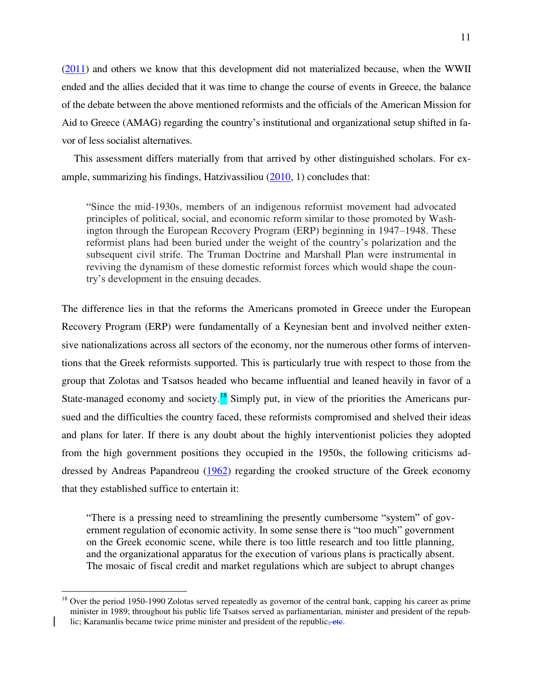[\(2011\)](#page-29-9) and others we know that this development did not materialized because, when the WWII ended and the allies decided that it was time to change the course of events in Greece, the balance of the debate between the above mentioned reformists and the officials of the American Mission for Aid to Greece (AMAG) regarding the country's institutional and organizational setup shifted in favor of less socialist alternatives.

This assessment differs materially from that arrived by other distinguished scholars. For example, summarizing his findings, Hatzivassiliou [\(2010,](#page-29-10) 1) concludes that:

"Since the mid-1930s, members of an indigenous reformist movement had advocated principles of political, social, and economic reform similar to those promoted by Washington through the European Recovery Program (ERP) beginning in 1947–1948. These reformist plans had been buried under the weight of the country's polarization and the subsequent civil strife. The Truman Doctrine and Marshall Plan were instrumental in reviving the dynamism of these domestic reformist forces which would shape the country's development in the ensuing decades.

The difference lies in that the reforms the Americans promoted in Greece under the European Recovery Program (ERP) were fundamentally of a Keynesian bent and involved neither extensive nationalizations across all sectors of the economy, nor the numerous other forms of interventions that the Greek reformists supported. This is particularly true with respect to those from the group that Zolotas and Tsatsos headed who became influential and leaned heavily in favor of a State-managed economy and society.<sup>18</sup> Simply put, in view of the priorities the Americans pursued and the difficulties the country faced, these reformists compromised and shelved their ideas and plans for later. If there is any doubt about the highly interventionist policies they adopted from the high government positions they occupied in the 1950s, the following criticisms addressed by Andreas Papandreou  $(1962)$  regarding the crooked structure of the Greek economy that they established suffice to entertain it:

"There is a pressing need to streamlining the presently cumbersome "system" of government regulation of economic activity. In some sense there is "too much" government on the Greek economic scene, while there is too little research and too little planning, and the organizational apparatus for the execution of various plans is practically absent. The mosaic of fiscal credit and market regulations which are subject to abrupt changes

<sup>&</sup>lt;sup>18</sup> Over the period 1950-1990 Zolotas served repeatedly as governor of the central bank, capping his career as prime minister in 1989; throughout his public life Tsatsos served as parliamentarian, minister and president of the republic; Karamanlis became twice prime minister and president of the republic, etc.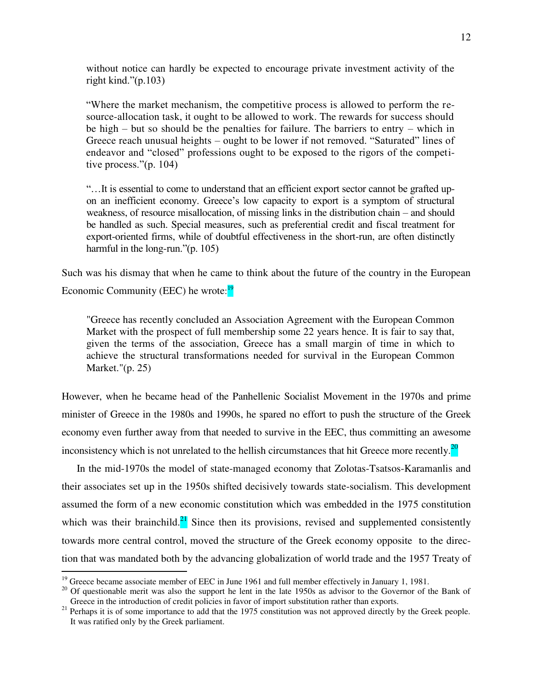without notice can hardly be expected to encourage private investment activity of the right kind."(p.103)

"Where the market mechanism, the competitive process is allowed to perform the resource-allocation task, it ought to be allowed to work. The rewards for success should be high – but so should be the penalties for failure. The barriers to entry – which in Greece reach unusual heights – ought to be lower if not removed. "Saturated" lines of endeavor and "closed" professions ought to be exposed to the rigors of the competitive process."(p. 104)

"…It is essential to come to understand that an efficient export sector cannot be grafted upon an inefficient economy. Greece's low capacity to export is a symptom of structural weakness, of resource misallocation, of missing links in the distribution chain – and should be handled as such. Special measures, such as preferential credit and fiscal treatment for export-oriented firms, while of doubtful effectiveness in the short-run, are often distinctly harmful in the long-run."(p. 105)

Such was his dismay that when he came to think about the future of the country in the European Economic Community (EEC) he wrote:<sup>19</sup>

"Greece has recently concluded an Association Agreement with the European Common Market with the prospect of full membership some 22 years hence. It is fair to say that, given the terms of the association, Greece has a small margin of time in which to achieve the structural transformations needed for survival in the European Common Market."(p. 25)

However, when he became head of the Panhellenic Socialist Movement in the 1970s and prime minister of Greece in the 1980s and 1990s, he spared no effort to push the structure of the Greek economy even further away from that needed to survive in the EEC, thus committing an awesome inconsistency which is not unrelated to the hellish circumstances that hit Greece more recently.<sup>20</sup>

In the mid-1970s the model of state-managed economy that Zolotas-Tsatsos-Karamanlis and their associates set up in the 1950s shifted decisively towards state-socialism. This development assumed the form of a new economic constitution which was embedded in the 1975 constitution which was their brainchild.<sup>21</sup> Since then its provisions, revised and supplemented consistently towards more central control, moved the structure of the Greek economy opposite to the direction that was mandated both by the advancing globalization of world trade and the 1957 Treaty of

 $19$  Greece became associate member of EEC in June 1961 and full member effectively in January 1, 1981.

 $20$  Of questionable merit was also the support he lent in the late 1950s as advisor to the Governor of the Bank of Greece in the introduction of credit policies in favor of import substitution rather than exports.

<sup>&</sup>lt;sup>21</sup> Perhaps it is of some importance to add that the 1975 constitution was not approved directly by the Greek people. It was ratified only by the Greek parliament.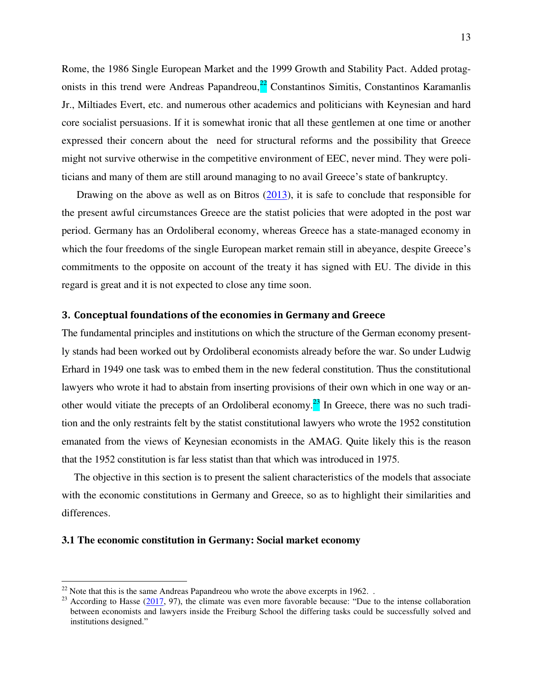Rome, the 1986 Single European Market and the 1999 Growth and Stability Pact. Added protagonists in this trend were Andreas Papandreou, $^{22}$  Constantinos Simitis, Constantinos Karamanlis Jr., Miltiades Evert, etc. and numerous other academics and politicians with Keynesian and hard core socialist persuasions. If it is somewhat ironic that all these gentlemen at one time or another expressed their concern about the need for structural reforms and the possibility that Greece might not survive otherwise in the competitive environment of EEC, never mind. They were politicians and many of them are still around managing to no avail Greece's state of bankruptcy.

Drawing on the above as well as on Bitros [\(2013\)](#page-28-4), it is safe to conclude that responsible for the present awful circumstances Greece are the statist policies that were adopted in the post war period. Germany has an Ordoliberal economy, whereas Greece has a state-managed economy in which the four freedoms of the single European market remain still in abeyance, despite Greece's commitments to the opposite on account of the treaty it has signed with EU. The divide in this regard is great and it is not expected to close any time soon.

## **3. Conceptual foundations of the economies in Germany and Greece**

The fundamental principles and institutions on which the structure of the German economy presently stands had been worked out by Ordoliberal economists already before the war. So under Ludwig Erhard in 1949 one task was to embed them in the new federal constitution. Thus the constitutional lawyers who wrote it had to abstain from inserting provisions of their own which in one way or another would vitiate the precepts of an Ordoliberal economy.<sup>23</sup> In Greece, there was no such tradition and the only restraints felt by the statist constitutional lawyers who wrote the 1952 constitution emanated from the views of Keynesian economists in the AMAG. Quite likely this is the reason that the 1952 constitution is far less statist than that which was introduced in 1975.

The objective in this section is to present the salient characteristics of the models that associate with the economic constitutions in Germany and Greece, so as to highlight their similarities and differences.

#### **3.1 The economic constitution in Germany: Social market economy**

 $22$  Note that this is the same Andreas Papandreou who wrote the above excerpts in 1962..

 $23$  According to Hasse [\(2017](#page-28-1), 97), the climate was even more favorable because: "Due to the intense collaboration between economists and lawyers inside the Freiburg School the differing tasks could be successfully solved and institutions designed."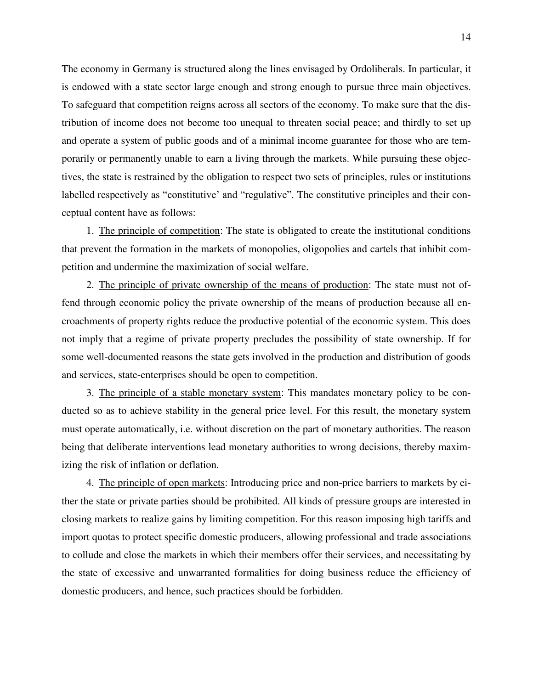The economy in Germany is structured along the lines envisaged by Ordoliberals. In particular, it is endowed with a state sector large enough and strong enough to pursue three main objectives. To safeguard that competition reigns across all sectors of the economy. To make sure that the distribution of income does not become too unequal to threaten social peace; and thirdly to set up and operate a system of public goods and of a minimal income guarantee for those who are temporarily or permanently unable to earn a living through the markets. While pursuing these objectives, the state is restrained by the obligation to respect two sets of principles, rules or institutions labelled respectively as "constitutive' and "regulative". The constitutive principles and their conceptual content have as follows:

1. The principle of competition: The state is obligated to create the institutional conditions that prevent the formation in the markets of monopolies, oligopolies and cartels that inhibit competition and undermine the maximization of social welfare.

2. The principle of private ownership of the means of production: The state must not offend through economic policy the private ownership of the means of production because all encroachments of property rights reduce the productive potential of the economic system. This does not imply that a regime of private property precludes the possibility of state ownership. If for some well-documented reasons the state gets involved in the production and distribution of goods and services, state-enterprises should be open to competition.

3. The principle of a stable monetary system: This mandates monetary policy to be conducted so as to achieve stability in the general price level. For this result, the monetary system must operate automatically, i.e. without discretion on the part of monetary authorities. The reason being that deliberate interventions lead monetary authorities to wrong decisions, thereby maximizing the risk of inflation or deflation.

4. The principle of open markets: Introducing price and non-price barriers to markets by either the state or private parties should be prohibited. All kinds of pressure groups are interested in closing markets to realize gains by limiting competition. For this reason imposing high tariffs and import quotas to protect specific domestic producers, allowing professional and trade associations to collude and close the markets in which their members offer their services, and necessitating by the state of excessive and unwarranted formalities for doing business reduce the efficiency of domestic producers, and hence, such practices should be forbidden.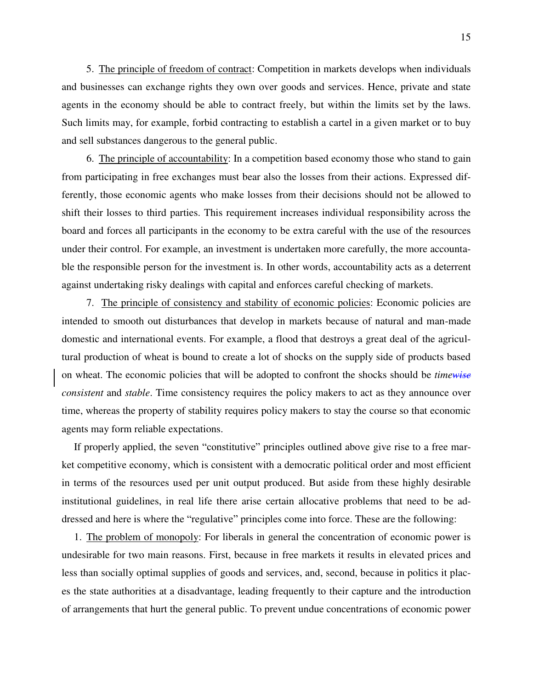5. The principle of freedom of contract: Competition in markets develops when individuals and businesses can exchange rights they own over goods and services. Hence, private and state agents in the economy should be able to contract freely, but within the limits set by the laws. Such limits may, for example, forbid contracting to establish a cartel in a given market or to buy and sell substances dangerous to the general public.

6. The principle of accountability: In a competition based economy those who stand to gain from participating in free exchanges must bear also the losses from their actions. Expressed differently, those economic agents who make losses from their decisions should not be allowed to shift their losses to third parties. This requirement increases individual responsibility across the board and forces all participants in the economy to be extra careful with the use of the resources under their control. For example, an investment is undertaken more carefully, the more accountable the responsible person for the investment is. In other words, accountability acts as a deterrent against undertaking risky dealings with capital and enforces careful checking of markets.

7. The principle of consistency and stability of economic policies: Economic policies are intended to smooth out disturbances that develop in markets because of natural and man-made domestic and international events. For example, a flood that destroys a great deal of the agricultural production of wheat is bound to create a lot of shocks on the supply side of products based on wheat. The economic policies that will be adopted to confront the shocks should be *timewise consistent* and *stable*. Time consistency requires the policy makers to act as they announce over time, whereas the property of stability requires policy makers to stay the course so that economic agents may form reliable expectations.

 If properly applied, the seven "constitutive" principles outlined above give rise to a free market competitive economy, which is consistent with a democratic political order and most efficient in terms of the resources used per unit output produced. But aside from these highly desirable institutional guidelines, in real life there arise certain allocative problems that need to be addressed and here is where the "regulative" principles come into force. These are the following:

1. The problem of monopoly: For liberals in general the concentration of economic power is undesirable for two main reasons. First, because in free markets it results in elevated prices and less than socially optimal supplies of goods and services, and, second, because in politics it places the state authorities at a disadvantage, leading frequently to their capture and the introduction of arrangements that hurt the general public. To prevent undue concentrations of economic power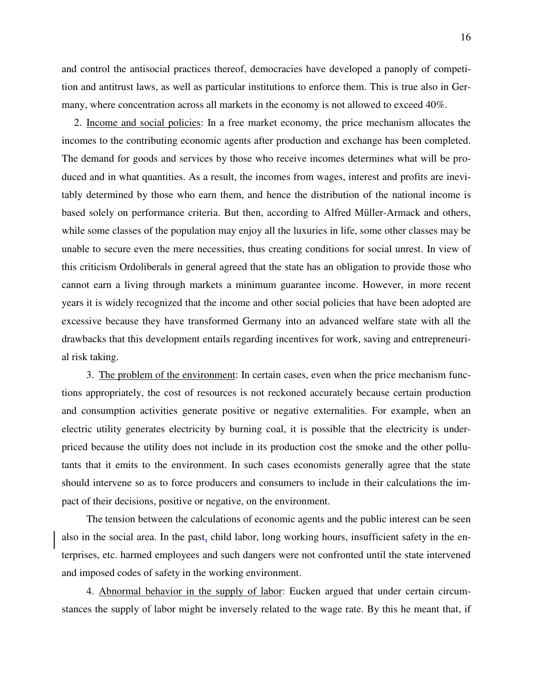and control the antisocial practices thereof, democracies have developed a panoply of competition and antitrust laws, as well as particular institutions to enforce them. This is true also in Germany, where concentration across all markets in the economy is not allowed to exceed 40%.

2. Income and social policies: In a free market economy, the price mechanism allocates the incomes to the contributing economic agents after production and exchange has been completed. The demand for goods and services by those who receive incomes determines what will be produced and in what quantities. As a result, the incomes from wages, interest and profits are inevitably determined by those who earn them, and hence the distribution of the national income is based solely on performance criteria. But then, according to Alfred Müller-Armack and others, while some classes of the population may enjoy all the luxuries in life, some other classes may be unable to secure even the mere necessities, thus creating conditions for social unrest. In view of this criticism Ordoliberals in general agreed that the state has an obligation to provide those who cannot earn a living through markets a minimum guarantee income. However, in more recent years it is widely recognized that the income and other social policies that have been adopted are excessive because they have transformed Germany into an advanced welfare state with all the drawbacks that this development entails regarding incentives for work, saving and entrepreneurial risk taking.

3. The problem of the environment: In certain cases, even when the price mechanism functions appropriately, the cost of resources is not reckoned accurately because certain production and consumption activities generate positive or negative externalities. For example, when an electric utility generates electricity by burning coal, it is possible that the electricity is underpriced because the utility does not include in its production cost the smoke and the other pollutants that it emits to the environment. In such cases economists generally agree that the state should intervene so as to force producers and consumers to include in their calculations the impact of their decisions, positive or negative, on the environment.

The tension between the calculations of economic agents and the public interest can be seen also in the social area. In the past, child labor, long working hours, insufficient safety in the enterprises, etc. harmed employees and such dangers were not confronted until the state intervened and imposed codes of safety in the working environment.

4. Abnormal behavior in the supply of labor: Eucken argued that under certain circumstances the supply of labor might be inversely related to the wage rate. By this he meant that, if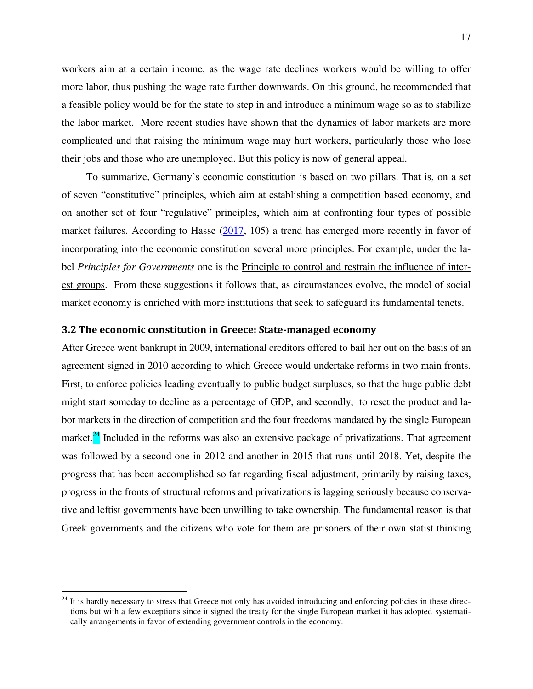workers aim at a certain income, as the wage rate declines workers would be willing to offer more labor, thus pushing the wage rate further downwards. On this ground, he recommended that a feasible policy would be for the state to step in and introduce a minimum wage so as to stabilize the labor market. More recent studies have shown that the dynamics of labor markets are more complicated and that raising the minimum wage may hurt workers, particularly those who lose their jobs and those who are unemployed. But this policy is now of general appeal.

To summarize, Germany's economic constitution is based on two pillars. That is, on a set of seven "constitutive" principles, which aim at establishing a competition based economy, and on another set of four "regulative" principles, which aim at confronting four types of possible market failures. According to Hasse  $(2017, 105)$  $(2017, 105)$  a trend has emerged more recently in favor of incorporating into the economic constitution several more principles. For example, under the label *Principles for Governments* one is the Principle to control and restrain the influence of interest groups. From these suggestions it follows that, as circumstances evolve, the model of social market economy is enriched with more institutions that seek to safeguard its fundamental tenets.

#### **3.2 The economic constitution in Greece: State-managed economy**

After Greece went bankrupt in 2009, international creditors offered to bail her out on the basis of an agreement signed in 2010 according to which Greece would undertake reforms in two main fronts. First, to enforce policies leading eventually to public budget surpluses, so that the huge public debt might start someday to decline as a percentage of GDP, and secondly, to reset the product and labor markets in the direction of competition and the four freedoms mandated by the single European market.<sup>24</sup> Included in the reforms was also an extensive package of privatizations. That agreement was followed by a second one in 2012 and another in 2015 that runs until 2018. Yet, despite the progress that has been accomplished so far regarding fiscal adjustment, primarily by raising taxes, progress in the fronts of structural reforms and privatizations is lagging seriously because conservative and leftist governments have been unwilling to take ownership. The fundamental reason is that Greek governments and the citizens who vote for them are prisoners of their own statist thinking

 $^{24}$  It is hardly necessary to stress that Greece not only has avoided introducing and enforcing policies in these directions but with a few exceptions since it signed the treaty for the single European market it has adopted systematically arrangements in favor of extending government controls in the economy.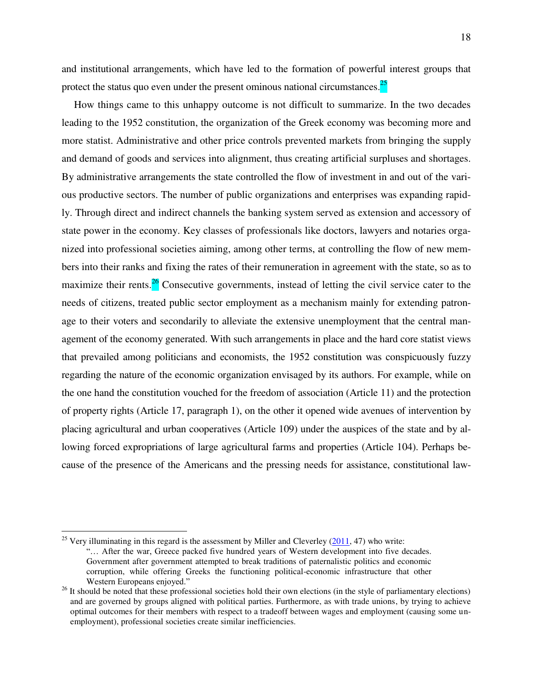and institutional arrangements, which have led to the formation of powerful interest groups that protect the status quo even under the present ominous national circumstances.<sup>25</sup>

How things came to this unhappy outcome is not difficult to summarize. In the two decades leading to the 1952 constitution, the organization of the Greek economy was becoming more and more statist. Administrative and other price controls prevented markets from bringing the supply and demand of goods and services into alignment, thus creating artificial surpluses and shortages. By administrative arrangements the state controlled the flow of investment in and out of the various productive sectors. The number of public organizations and enterprises was expanding rapidly. Through direct and indirect channels the banking system served as extension and accessory of state power in the economy. Key classes of professionals like doctors, lawyers and notaries organized into professional societies aiming, among other terms, at controlling the flow of new members into their ranks and fixing the rates of their remuneration in agreement with the state, so as to maximize their rents.<sup>26</sup> Consecutive governments, instead of letting the civil service cater to the needs of citizens, treated public sector employment as a mechanism mainly for extending patronage to their voters and secondarily to alleviate the extensive unemployment that the central management of the economy generated. With such arrangements in place and the hard core statist views that prevailed among politicians and economists, the 1952 constitution was conspicuously fuzzy regarding the nature of the economic organization envisaged by its authors. For example, while on the one hand the constitution vouched for the freedom of association (Article 11) and the protection of property rights (Article 17, paragraph 1), on the other it opened wide avenues of intervention by placing agricultural and urban cooperatives (Article 109) under the auspices of the state and by allowing forced expropriations of large agricultural farms and properties (Article 104). Perhaps because of the presence of the Americans and the pressing needs for assistance, constitutional law-

<sup>&</sup>lt;sup>25</sup> Very illuminating in this regard is the assessment by Miller and Cleverley  $(2011, 47)$  $(2011, 47)$  who write: "… After the war, Greece packed five hundred years of Western development into five decades. Government after government attempted to break traditions of paternalistic politics and economic corruption, while offering Greeks the functioning political-economic infrastructure that other Western Europeans enjoyed."

 $26$  It should be noted that these professional societies hold their own elections (in the style of parliamentary elections) and are governed by groups aligned with political parties. Furthermore, as with trade unions, by trying to achieve optimal outcomes for their members with respect to a tradeoff between wages and employment (causing some unemployment), professional societies create similar inefficiencies.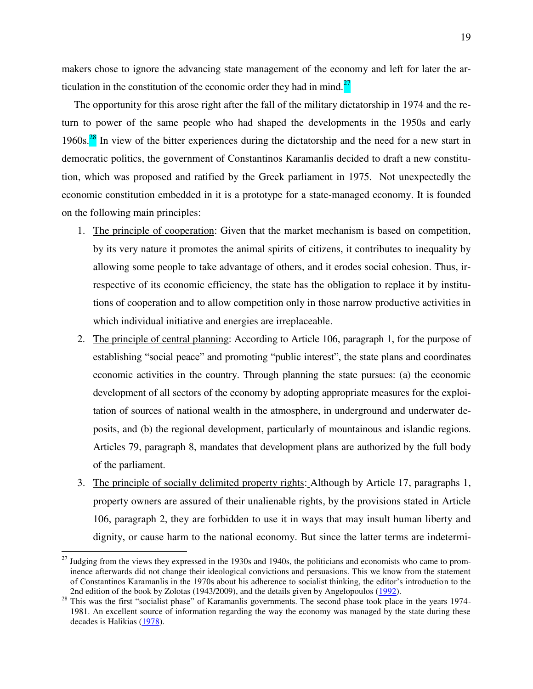makers chose to ignore the advancing state management of the economy and left for later the articulation in the constitution of the economic order they had in mind. $^{27}$ 

The opportunity for this arose right after the fall of the military dictatorship in 1974 and the return to power of the same people who had shaped the developments in the 1950s and early 1960s.<sup>28</sup> In view of the bitter experiences during the dictatorship and the need for a new start in democratic politics, the government of Constantinos Karamanlis decided to draft a new constitution, which was proposed and ratified by the Greek parliament in 1975. Not unexpectedly the economic constitution embedded in it is a prototype for a state-managed economy. It is founded on the following main principles:

- 1. The principle of cooperation: Given that the market mechanism is based on competition, by its very nature it promotes the animal spirits of citizens, it contributes to inequality by allowing some people to take advantage of others, and it erodes social cohesion. Thus, irrespective of its economic efficiency, the state has the obligation to replace it by institutions of cooperation and to allow competition only in those narrow productive activities in which individual initiative and energies are irreplaceable.
- 2. The principle of central planning: According to Article 106, paragraph 1, for the purpose of establishing "social peace" and promoting "public interest", the state plans and coordinates economic activities in the country. Through planning the state pursues: (a) the economic development of all sectors of the economy by adopting appropriate measures for the exploitation of sources of national wealth in the atmosphere, in underground and underwater deposits, and (b) the regional development, particularly of mountainous and islandic regions. Articles 79, paragraph 8, mandates that development plans are authorized by the full body of the parliament.
- 3. The principle of socially delimited property rights: Although by Article 17, paragraphs 1, property owners are assured of their unalienable rights, by the provisions stated in Article 106, paragraph 2, they are forbidden to use it in ways that may insult human liberty and dignity, or cause harm to the national economy. But since the latter terms are indetermi-

 $^{27}$  Judging from the views they expressed in the 1930s and 1940s, the politicians and economists who came to prominence afterwards did not change their ideological convictions and persuasions. This we know from the statement of Constantinos Karamanlis in the 1970s about his adherence to socialist thinking, the editor's introduction to the 2nd edition of the book by Zolotas (1943/2009), and the details given by Angelopoulos [\(1992\)](#page-28-5).

<sup>&</sup>lt;sup>28</sup> This was the first "socialist phase" of Karamanlis governments. The second phase took place in the years 1974-1981. An excellent source of information regarding the way the economy was managed by the state during these decades is Halikias [\(1978\)](#page-28-6).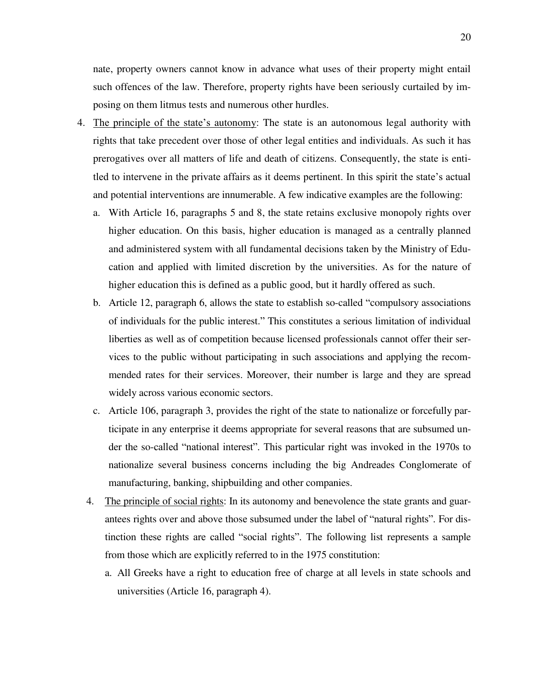nate, property owners cannot know in advance what uses of their property might entail such offences of the law. Therefore, property rights have been seriously curtailed by imposing on them litmus tests and numerous other hurdles.

- 4. The principle of the state's autonomy: The state is an autonomous legal authority with rights that take precedent over those of other legal entities and individuals. As such it has prerogatives over all matters of life and death of citizens. Consequently, the state is entitled to intervene in the private affairs as it deems pertinent. In this spirit the state's actual and potential interventions are innumerable. A few indicative examples are the following:
	- a. With Article 16, paragraphs 5 and 8, the state retains exclusive monopoly rights over higher education. On this basis, higher education is managed as a centrally planned and administered system with all fundamental decisions taken by the Ministry of Education and applied with limited discretion by the universities. As for the nature of higher education this is defined as a public good, but it hardly offered as such.
	- b. Article 12, paragraph 6, allows the state to establish so-called "compulsory associations of individuals for the public interest." This constitutes a serious limitation of individual liberties as well as of competition because licensed professionals cannot offer their services to the public without participating in such associations and applying the recommended rates for their services. Moreover, their number is large and they are spread widely across various economic sectors.
	- c. Article 106, paragraph 3, provides the right of the state to nationalize or forcefully participate in any enterprise it deems appropriate for several reasons that are subsumed under the so-called "national interest". This particular right was invoked in the 1970s to nationalize several business concerns including the big Andreades Conglomerate of manufacturing, banking, shipbuilding and other companies.
	- 4. The principle of social rights: In its autonomy and benevolence the state grants and guarantees rights over and above those subsumed under the label of "natural rights". For distinction these rights are called "social rights". The following list represents a sample from those which are explicitly referred to in the 1975 constitution:
		- a. All Greeks have a right to education free of charge at all levels in state schools and universities (Article 16, paragraph 4).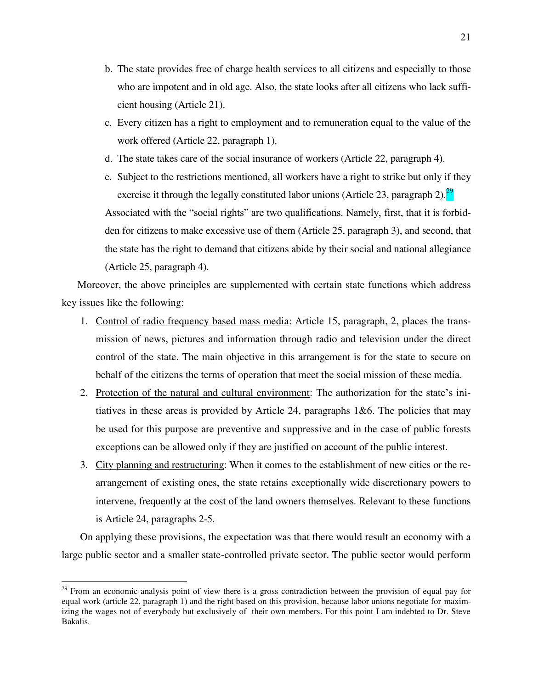- b. The state provides free of charge health services to all citizens and especially to those who are impotent and in old age. Also, the state looks after all citizens who lack sufficient housing (Article 21).
- c. Every citizen has a right to employment and to remuneration equal to the value of the work offered (Article 22, paragraph 1).
- d. The state takes care of the social insurance of workers (Article 22, paragraph 4).
- e. Subject to the restrictions mentioned, all workers have a right to strike but only if they exercise it through the legally constituted labor unions (Article 23, paragraph 2). $^{29}$ Associated with the "social rights" are two qualifications. Namely, first, that it is forbidden for citizens to make excessive use of them (Article 25, paragraph 3), and second, that the state has the right to demand that citizens abide by their social and national allegiance (Article 25, paragraph 4).

 Moreover, the above principles are supplemented with certain state functions which address key issues like the following:

- 1. Control of radio frequency based mass media: Article 15, paragraph, 2, places the transmission of news, pictures and information through radio and television under the direct control of the state. The main objective in this arrangement is for the state to secure on behalf of the citizens the terms of operation that meet the social mission of these media.
- 2. Protection of the natural and cultural environment: The authorization for the state's initiatives in these areas is provided by Article 24, paragraphs  $1&6$ . The policies that may be used for this purpose are preventive and suppressive and in the case of public forests exceptions can be allowed only if they are justified on account of the public interest.
- 3. City planning and restructuring: When it comes to the establishment of new cities or the rearrangement of existing ones, the state retains exceptionally wide discretionary powers to intervene, frequently at the cost of the land owners themselves. Relevant to these functions is Article 24, paragraphs 2-5.

On applying these provisions, the expectation was that there would result an economy with a large public sector and a smaller state-controlled private sector. The public sector would perform

<sup>&</sup>lt;sup>29</sup> From an economic analysis point of view there is a gross contradiction between the provision of equal pay for equal work (article 22, paragraph 1) and the right based on this provision, because labor unions negotiate for maximizing the wages not of everybody but exclusively of their own members. For this point I am indebted to Dr. Steve Bakalis.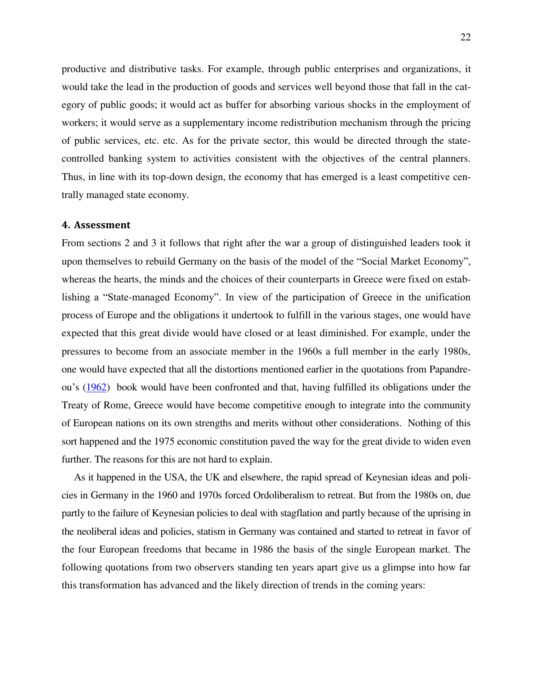productive and distributive tasks. For example, through public enterprises and organizations, it would take the lead in the production of goods and services well beyond those that fall in the category of public goods; it would act as buffer for absorbing various shocks in the employment of workers; it would serve as a supplementary income redistribution mechanism through the pricing of public services, etc. etc. As for the private sector, this would be directed through the statecontrolled banking system to activities consistent with the objectives of the central planners. Thus, in line with its top-down design, the economy that has emerged is a least competitive centrally managed state economy.

#### **4. Assessment**

From sections 2 and 3 it follows that right after the war a group of distinguished leaders took it upon themselves to rebuild Germany on the basis of the model of the "Social Market Economy", whereas the hearts, the minds and the choices of their counterparts in Greece were fixed on establishing a "State-managed Economy". In view of the participation of Greece in the unification process of Europe and the obligations it undertook to fulfill in the various stages, one would have expected that this great divide would have closed or at least diminished. For example, under the pressures to become from an associate member in the 1960s a full member in the early 1980s, one would have expected that all the distortions mentioned earlier in the quotations from Papandreou's [\(1962\)](#page-29-11) book would have been confronted and that, having fulfilled its obligations under the Treaty of Rome, Greece would have become competitive enough to integrate into the community of European nations on its own strengths and merits without other considerations. Nothing of this sort happened and the 1975 economic constitution paved the way for the great divide to widen even further. The reasons for this are not hard to explain.

As it happened in the USA, the UK and elsewhere, the rapid spread of Keynesian ideas and policies in Germany in the 1960 and 1970s forced Ordoliberalism to retreat. But from the 1980s on, due partly to the failure of Keynesian policies to deal with stagflation and partly because of the uprising in the neoliberal ideas and policies, statism in Germany was contained and started to retreat in favor of the four European freedoms that became in 1986 the basis of the single European market. The following quotations from two observers standing ten years apart give us a glimpse into how far this transformation has advanced and the likely direction of trends in the coming years: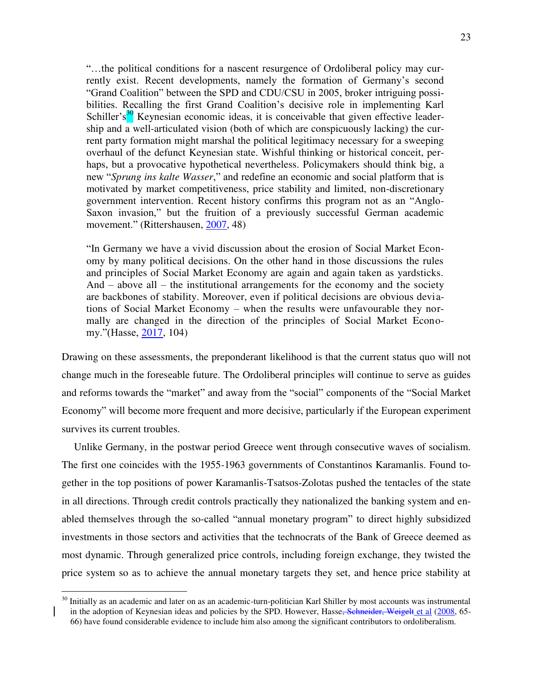"…the political conditions for a nascent resurgence of Ordoliberal policy may currently exist. Recent developments, namely the formation of Germany's second "Grand Coalition" between the SPD and CDU/CSU in 2005, broker intriguing possibilities. Recalling the first Grand Coalition's decisive role in implementing Karl Schiller's<sup>30</sup> Keynesian economic ideas, it is conceivable that given effective leadership and a well-articulated vision (both of which are conspicuously lacking) the current party formation might marshal the political legitimacy necessary for a sweeping overhaul of the defunct Keynesian state. Wishful thinking or historical conceit, perhaps, but a provocative hypothetical nevertheless. Policymakers should think big, a new "*Sprung ins kalte Wasser*," and redefine an economic and social platform that is motivated by market competitiveness, price stability and limited, non-discretionary government intervention. Recent history confirms this program not as an "Anglo-Saxon invasion," but the fruition of a previously successful German academic movement." (Rittershausen, [2007,](#page-29-3) 48)

"In Germany we have a vivid discussion about the erosion of Social Market Economy by many political decisions. On the other hand in those discussions the rules and principles of Social Market Economy are again and again taken as yardsticks. And – above all – the institutional arrangements for the economy and the society are backbones of stability. Moreover, even if political decisions are obvious deviations of Social Market Economy – when the results were unfavourable they normally are changed in the direction of the principles of Social Market Economy."(Hasse, [2017,](#page-28-1) 104)

Drawing on these assessments, the preponderant likelihood is that the current status quo will not change much in the foreseable future. The Ordoliberal principles will continue to serve as guides and reforms towards the "market" and away from the "social" components of the "Social Market Economy" will become more frequent and more decisive, particularly if the European experiment survives its current troubles.

Unlike Germany, in the postwar period Greece went through consecutive waves of socialism. The first one coincides with the 1955-1963 governments of Constantinos Karamanlis. Found together in the top positions of power Karamanlis-Tsatsos-Zolotas pushed the tentacles of the state in all directions. Through credit controls practically they nationalized the banking system and enabled themselves through the so-called "annual monetary program" to direct highly subsidized investments in those sectors and activities that the technocrats of the Bank of Greece deemed as most dynamic. Through generalized price controls, including foreign exchange, they twisted the price system so as to achieve the annual monetary targets they set, and hence price stability at

<sup>&</sup>lt;sup>30</sup> Initially as an academic and later on as an academic-turn-politician Karl Shiller by most accounts was instrumental in the adoption of Keynesian ideas and policies by the SPD. However, Hasse<del>, Schneider, Weigelt</del> et al [\(2008,](#page-29-6) 65-66) have found considerable evidence to include him also among the significant contributors to ordoliberalism.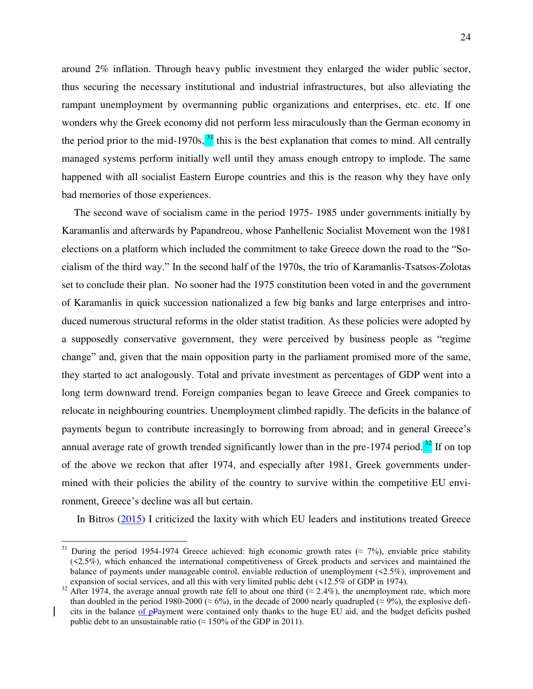around 2% inflation. Through heavy public investment they enlarged the wider public sector, thus securing the necessary institutional and industrial infrastructures, but also alleviating the rampant unemployment by overmanning public organizations and enterprises, etc. etc. If one wonders why the Greek economy did not perform less miraculously than the German economy in the period prior to the mid-1970s,  $31$  this is the best explanation that comes to mind. All centrally managed systems perform initially well until they amass enough entropy to implode. The same happened with all socialist Eastern Europe countries and this is the reason why they have only bad memories of those experiences.

The second wave of socialism came in the period 1975- 1985 under governments initially by Karamanlis and afterwards by Papandreou, whose Panhellenic Socialist Movement won the 1981 elections on a platform which included the commitment to take Greece down the road to the "Socialism of the third way." In the second half of the 1970s, the trio of Karamanlis-Tsatsos-Zolotas set to conclude their plan. No sooner had the 1975 constitution been voted in and the government of Karamanlis in quick succession nationalized a few big banks and large enterprises and introduced numerous structural reforms in the older statist tradition. As these policies were adopted by a supposedly conservative government, they were perceived by business people as "regime change" and, given that the main opposition party in the parliament promised more of the same, they started to act analogously. Total and private investment as percentages of GDP went into a long term downward trend. Foreign companies began to leave Greece and Greek companies to relocate in neighbouring countries. Unemployment climbed rapidly. The deficits in the balance of payments begun to contribute increasingly to borrowing from abroad; and in general Greece's annual average rate of growth trended significantly lower than in the pre-1974 period.<sup>32</sup> If on top of the above we reckon that after 1974, and especially after 1981, Greek governments undermined with their policies the ability of the country to survive within the competitive EU environment, Greece's decline was all but certain.

In Bitros [\(2015\)](#page-28-7) I criticized the laxity with which EU leaders and institutions treated Greece

<sup>&</sup>lt;sup>31</sup> During the period 1954-1974 Greece achieved: high economic growth rates ( $\approx$  7%), enviable price stability (<2.5%), which enhanced the international competitiveness of Greek products and services and maintained the balance of payments under manageable control, enviable reduction of unemployment (<2.5%), improvement and expansion of social services, and all this with very limited public debt (<12.5% of GDP in 1974).

<sup>&</sup>lt;sup>32</sup> After 1974, the average annual growth rate fell to about one third ( $\approx 2.4\%$ ), the unemployment rate, which more than doubled in the period 1980-2000 (≈ 6%), in the decade of 2000 nearly quadrupled (≈ 9%), the explosive deficits in the balance of pPayment were contained only thanks to the huge EU aid, and the budget deficits pushed public debt to an unsustainable ratio ( $\approx 150\%$  of the GDP in 2011).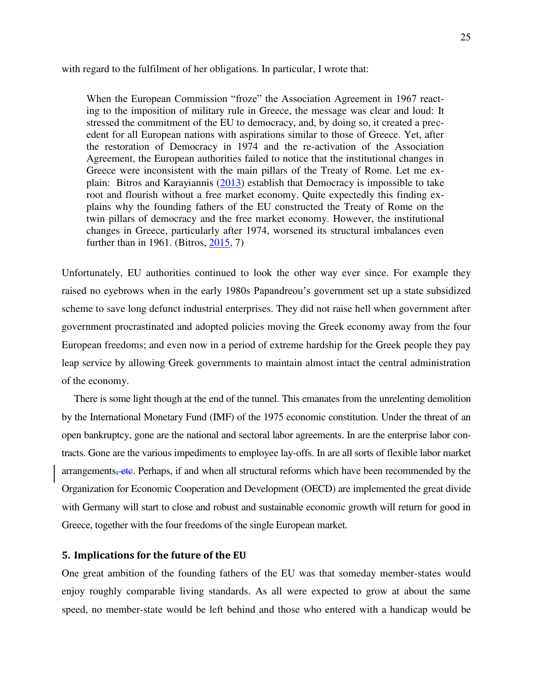with regard to the fulfilment of her obligations. In particular, I wrote that:

When the European Commission "froze" the Association Agreement in 1967 reacting to the imposition of military rule in Greece, the message was clear and loud: It stressed the commitment of the EU to democracy, and, by doing so, it created a precedent for all European nations with aspirations similar to those of Greece. Yet, after the restoration of Democracy in 1974 and the re-activation of the Association Agreement, the European authorities failed to notice that the institutional changes in Greece were inconsistent with the main pillars of the Treaty of Rome. Let me explain: Bitros and Karayiannis [\(2013\)](#page-28-8) establish that Democracy is impossible to take root and flourish without a free market economy. Quite expectedly this finding explains why the founding fathers of the EU constructed the Treaty of Rome on the twin pillars of democracy and the free market economy. However, the institutional changes in Greece, particularly after 1974, worsened its structural imbalances even further than in 1961. (Bitros, [2015,](#page-28-7) 7)

Unfortunately, EU authorities continued to look the other way ever since. For example they raised no eyebrows when in the early 1980s Papandreou's government set up a state subsidized scheme to save long defunct industrial enterprises. They did not raise hell when government after government procrastinated and adopted policies moving the Greek economy away from the four European freedoms; and even now in a period of extreme hardship for the Greek people they pay leap service by allowing Greek governments to maintain almost intact the central administration of the economy.

There is some light though at the end of the tunnel. This emanates from the unrelenting demolition by the International Monetary Fund (IMF) of the 1975 economic constitution. Under the threat of an open bankruptcy, gone are the national and sectoral labor agreements. In are the enterprise labor contracts. Gone are the various impediments to employee lay-offs. In are all sorts of flexible labor market arrangements, etc. Perhaps, if and when all structural reforms which have been recommended by the Organization for Economic Cooperation and Development (OECD) are implemented the great divide with Germany will start to close and robust and sustainable economic growth will return for good in Greece, together with the four freedoms of the single European market.

# **5. Implications for the future of the EU**

One great ambition of the founding fathers of the EU was that someday member-states would enjoy roughly comparable living standards. As all were expected to grow at about the same speed, no member-state would be left behind and those who entered with a handicap would be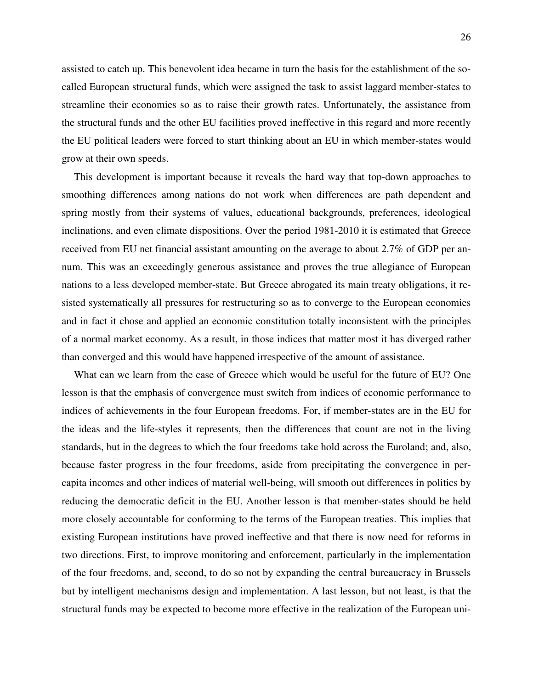assisted to catch up. This benevolent idea became in turn the basis for the establishment of the socalled European structural funds, which were assigned the task to assist laggard member-states to streamline their economies so as to raise their growth rates. Unfortunately, the assistance from the structural funds and the other EU facilities proved ineffective in this regard and more recently the EU political leaders were forced to start thinking about an EU in which member-states would grow at their own speeds.

This development is important because it reveals the hard way that top-down approaches to smoothing differences among nations do not work when differences are path dependent and spring mostly from their systems of values, educational backgrounds, preferences, ideological inclinations, and even climate dispositions. Over the period 1981-2010 it is estimated that Greece received from EU net financial assistant amounting on the average to about 2.7% of GDP per annum. This was an exceedingly generous assistance and proves the true allegiance of European nations to a less developed member-state. But Greece abrogated its main treaty obligations, it resisted systematically all pressures for restructuring so as to converge to the European economies and in fact it chose and applied an economic constitution totally inconsistent with the principles of a normal market economy. As a result, in those indices that matter most it has diverged rather than converged and this would have happened irrespective of the amount of assistance.

 What can we learn from the case of Greece which would be useful for the future of EU? One lesson is that the emphasis of convergence must switch from indices of economic performance to indices of achievements in the four European freedoms. For, if member-states are in the EU for the ideas and the life-styles it represents, then the differences that count are not in the living standards, but in the degrees to which the four freedoms take hold across the Euroland; and, also, because faster progress in the four freedoms, aside from precipitating the convergence in percapita incomes and other indices of material well-being, will smooth out differences in politics by reducing the democratic deficit in the EU. Another lesson is that member-states should be held more closely accountable for conforming to the terms of the European treaties. This implies that existing European institutions have proved ineffective and that there is now need for reforms in two directions. First, to improve monitoring and enforcement, particularly in the implementation of the four freedoms, and, second, to do so not by expanding the central bureaucracy in Brussels but by intelligent mechanisms design and implementation. A last lesson, but not least, is that the structural funds may be expected to become more effective in the realization of the European uni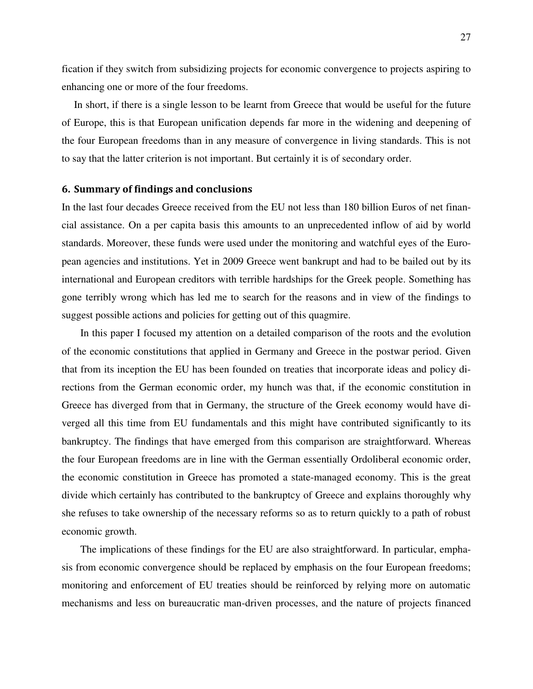fication if they switch from subsidizing projects for economic convergence to projects aspiring to enhancing one or more of the four freedoms.

 In short, if there is a single lesson to be learnt from Greece that would be useful for the future of Europe, this is that European unification depends far more in the widening and deepening of the four European freedoms than in any measure of convergence in living standards. This is not to say that the latter criterion is not important. But certainly it is of secondary order.

## **6. Summary of findings and conclusions**

In the last four decades Greece received from the EU not less than 180 billion Euros of net financial assistance. On a per capita basis this amounts to an unprecedented inflow of aid by world standards. Moreover, these funds were used under the monitoring and watchful eyes of the European agencies and institutions. Yet in 2009 Greece went bankrupt and had to be bailed out by its international and European creditors with terrible hardships for the Greek people. Something has gone terribly wrong which has led me to search for the reasons and in view of the findings to suggest possible actions and policies for getting out of this quagmire.

In this paper I focused my attention on a detailed comparison of the roots and the evolution of the economic constitutions that applied in Germany and Greece in the postwar period. Given that from its inception the EU has been founded on treaties that incorporate ideas and policy directions from the German economic order, my hunch was that, if the economic constitution in Greece has diverged from that in Germany, the structure of the Greek economy would have diverged all this time from EU fundamentals and this might have contributed significantly to its bankruptcy. The findings that have emerged from this comparison are straightforward. Whereas the four European freedoms are in line with the German essentially Ordoliberal economic order, the economic constitution in Greece has promoted a state-managed economy. This is the great divide which certainly has contributed to the bankruptcy of Greece and explains thoroughly why she refuses to take ownership of the necessary reforms so as to return quickly to a path of robust economic growth.

The implications of these findings for the EU are also straightforward. In particular, emphasis from economic convergence should be replaced by emphasis on the four European freedoms; monitoring and enforcement of EU treaties should be reinforced by relying more on automatic mechanisms and less on bureaucratic man-driven processes, and the nature of projects financed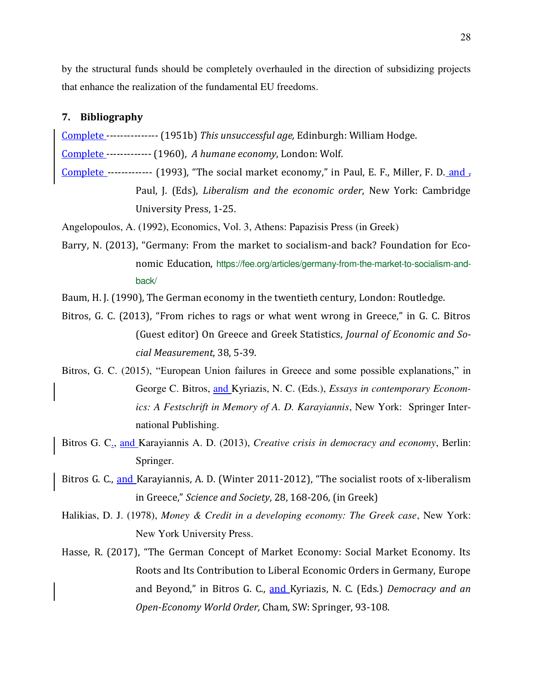by the structural funds should be completely overhauled in the direction of subsidizing projects that enhance the realization of the fundamental EU freedoms.

# **7. Bibliography**

Complete --------------- (1951b) *This unsuccessful age,* Edinburgh: William Hodge.

Complete ------------- (1960), *A humane economy*, London: Wolf.

Complete ------------- (1993), "The social market economy," in Paul, E. F., Miller, F. D. and Paul, J. (Eds), *Liberalism and the economic order*, New York: Cambridge University Press, 1-25.

<span id="page-28-5"></span>Angelopoulos, A. (1992), Economics, Vol. 3, Athens: Papazisis Press (in Greek)

- <span id="page-28-0"></span>Barry, N. (2013), "Germany: From the market to socialism-and back? Foundation for Economic Education, https://fee.org/articles/germany-from-the-market-to-socialism-andback/
- <span id="page-28-2"></span>Baum, H. J. (1990), The German economy in the twentieth century, London: Routledge.
- <span id="page-28-4"></span>Bitros, G. C. (2013), "From riches to rags or what went wrong in Greece," in G. C. Bitros (Guest editor) On Greece and Greek Statistics, *Journal of Economic and Social Measurement*, 38, 5-39.
- <span id="page-28-7"></span>Bitros, G. C. (2015), "European Union failures in Greece and some possible explanations," in George C. Bitros, and Kyriazis, N. C. (Eds.), *Essays in contemporary Economics: A Festschrift in Memory of A. D. Karayiannis*, New York: Springer International Publishing.
- <span id="page-28-8"></span>Bitros G. C., and Karayiannis A. D. (2013), *Creative crisis in democracy and economy*, Berlin: Springer.
- <span id="page-28-3"></span>Bitros G. C., and Karayiannis, A. D. (Winter 2011-2012), "The socialist roots of x-liberalism in Greece," *Science and Society*, 28, 168-206, (in Greek)
- <span id="page-28-6"></span>Halikias, D. J. (1978), *Money & Credit in a developing economy: The Greek case*, New York: New York University Press.
- <span id="page-28-1"></span>Hasse, R. (2017), "The German Concept of Market Economy: Social Market Economy. Its Roots and Its Contribution to Liberal Economic Orders in Germany, Europe and Beyond," in Bitros G. C., and Kyriazis, N. C. (Eds.) *Democracy and an Open-Economy World Order,* Cham, SW: Springer, 93-108.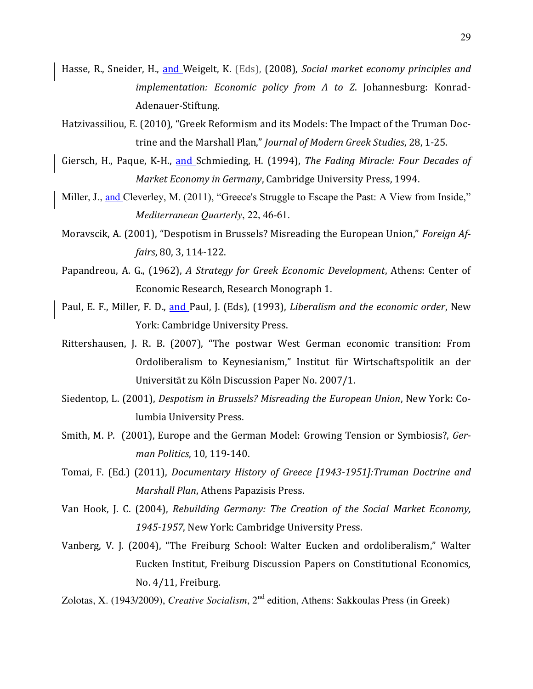- <span id="page-29-6"></span>Hasse, R., Sneider, H., and Weigelt, K. (Eds), (2008), *Social market economy principles and implementation: Economic policy from A to Z*. Johannesburg: Konrad-Adenauer-Stiftung.
- <span id="page-29-10"></span>Hatzivassiliou, E. (2010), "Greek Reformism and its Models: The Impact of the Truman Doctrine and the Marshall Plan," *Journal of Modern Greek Studies*, 28, 1-25.
- <span id="page-29-5"></span>Giersch, H., Paque, K-H., and Schmieding, H. (1994), *The Fading Miracle: Four Decades of Market Economy in Germany*, Cambridge University Press, 1994.
- <span id="page-29-12"></span>Miller, J., and Cleverley, M. (2011), "Greece's Struggle to Escape the Past: A View from Inside," *Mediterranean Quarterly*, 22, 46-61.
- <span id="page-29-1"></span>Moravscik, A. (2001), "Despotism in Brussels? Misreading the European Union," *Foreign Affairs*, 80, 3, 114-122.
- <span id="page-29-11"></span>Papandreou, A. G., (1962), *A Strategy for Greek Economic Development*, Athens: Center of Economic Research, Research Monograph 1.
- Paul, E. F., Miller, F. D., and Paul, J. (Eds), (1993), *Liberalism and the economic order*, New York: Cambridge University Press.
- <span id="page-29-3"></span>Rittershausen, J. R. B. (2007), "The postwar West German economic transition: From Ordoliberalism to Keynesianism," Institut für Wirtschaftspolitik an der Universität zu Köln Discussion Paper No. 2007/1.
- <span id="page-29-0"></span>Siedentop, L. (2001), *Despotism in Brussels? Misreading the European Union*, New York: Columbia University Press.
- <span id="page-29-7"></span>Smith, M. P. (2001), Europe and the German Model: Growing Tension or Symbiosis?, *German Politics*, 10, 119-140.
- <span id="page-29-9"></span>Tomai, F. (Ed.) (2011), *Documentary History of Greece [1943-1951]:Truman Doctrine and Marshall Plan*, Athens Papazisis Press.
- <span id="page-29-4"></span>Van Hook, J. C. (2004), *Rebuilding Germany: The Creation of the Social Market Economy, 1945-1957*, New York: Cambridge University Press.
- <span id="page-29-2"></span>Vanberg, V. J. (2004), "The Freiburg School: Walter Eucken and ordoliberalism," Walter Eucken Institut, Freiburg Discussion Papers on Constitutional Economics, No. 4/11, Freiburg.
- <span id="page-29-8"></span>Zolotas, X. (1943/2009), *Creative Socialism*, 2<sup>nd</sup> edition, Athens: Sakkoulas Press (in Greek)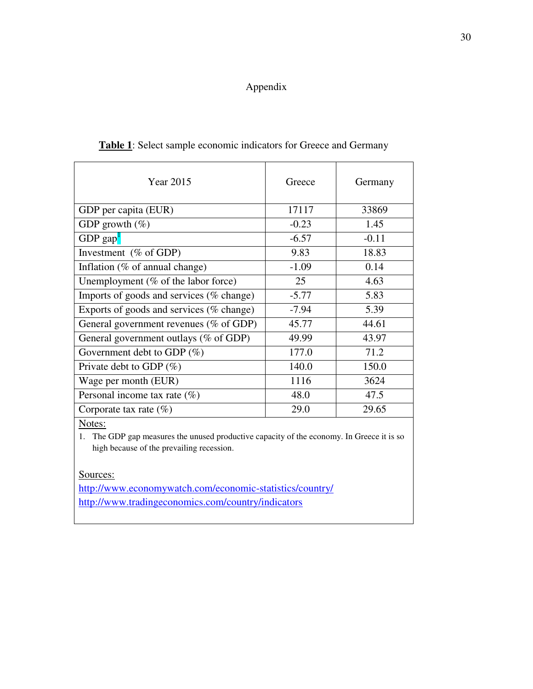# Appendix

| <b>Year 2015</b>                          | Greece  | Germany |
|-------------------------------------------|---------|---------|
| GDP per capita (EUR)                      | 17117   | 33869   |
| GDP growth $(\%)$                         | $-0.23$ | 1.45    |
| GDP $\text{gap}^1$                        | $-6.57$ | $-0.11$ |
| Investment (% of GDP)                     | 9.83    | 18.83   |
| Inflation ( $%$ of annual change)         | $-1.09$ | 0.14    |
| Unemployment ( $%$ of the labor force)    | 25      | 4.63    |
| Imports of goods and services (% change)  | $-5.77$ | 5.83    |
| Exports of goods and services (% change)  | $-7.94$ | 5.39    |
| General government revenues ( $%$ of GDP) | 45.77   | 44.61   |
| General government outlays (% of GDP)     | 49.99   | 43.97   |
| Government debt to GDP $(\%)$             | 177.0   | 71.2    |
| Private debt to GDP $(\%)$                | 140.0   | 150.0   |
| Wage per month (EUR)                      | 1116    | 3624    |
| Personal income tax rate $(\%)$           | 48.0    | 47.5    |
| Corporate tax rate $(\%)$                 | 29.0    | 29.65   |
| Notes:                                    |         |         |

# **Table 1**: Select sample economic indicators for Greece and Germany

1. The GDP gap measures the unused productive capacity of the economy. In Greece it is so high because of the prevailing recession.

Sources:

[http://www.economywatch.com/economic-statistics/country/](http://www.economywatch.com/economic-statistics/country/Greece)  <http://www.tradingeconomics.com/country/indicators>